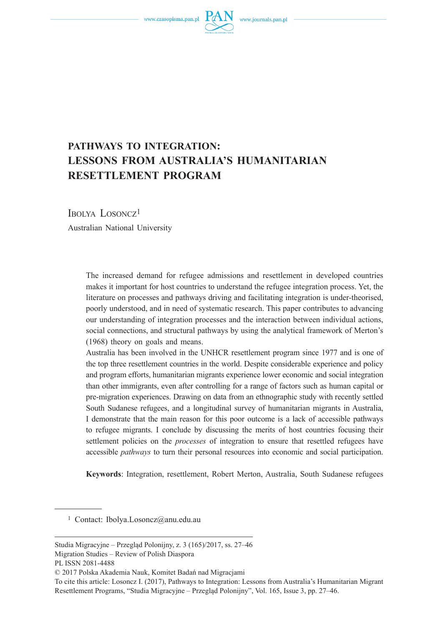www.czasopisma.pan.pl  $P$ 



# **PATHWAYS TO INTEGRATION: LESSONS FROM AUSTRALIA'S HUMANITARIAN RESETTLEMENT PROGRAM**

IBOLYA LOSONCZ<sup>1</sup> Australian National University

> The increased demand for refugee admissions and resettlement in developed countries makes it important for host countries to understand the refugee integration process. Yet, the literature on processes and pathways driving and facilitating integration is under-theorised, poorly understood, and in need of systematic research. This paper contributes to advancing our understanding of integration processes and the interaction between individual actions, social connections, and structural pathways by using the analytical framework of Merton's (1968) theory on goals and means.

> Australia has been involved in the UNHCR resettlement program since 1977 and is one of the top three resettlement countries in the world. Despite considerable experience and policy and program efforts, humanitarian migrants experience lower economic and social integration than other immigrants, even after controlling for a range of factors such as human capital or pre-migration experiences. Drawing on data from an ethnographic study with recently settled South Sudanese refugees, and a longitudinal survey of humanitarian migrants in Australia, I demonstrate that the main reason for this poor outcome is a lack of accessible pathways to refugee migrants. I conclude by discussing the merits of host countries focusing their settlement policies on the *processes* of integration to ensure that resettled refugees have accessible *pathways* to turn their personal resources into economic and social participation.

> **Keywords**: Integration, resettlement, Robert Merton, Australia, South Sudanese refugees

1 Contact: Ibolya.Losoncz@anu.edu.au

Studia Migracyjne – Przegląd Polonijny, z. 3 (165)/2017, ss. 27–46 Migration Studies – Review of Polish Diaspora PL ISSN 2081-4488

<sup>© 2017</sup> Polska Akademia Nauk, Komitet Badań nad Migracjami

To cite this article: Losoncz I. (2017), Pathways to Integration: Lessons from Australia's Humanitarian Migrant Resettlement Programs, "Studia Migracyjne – Przegląd Polonijny", Vol. 165, Issue 3, pp. 27–46.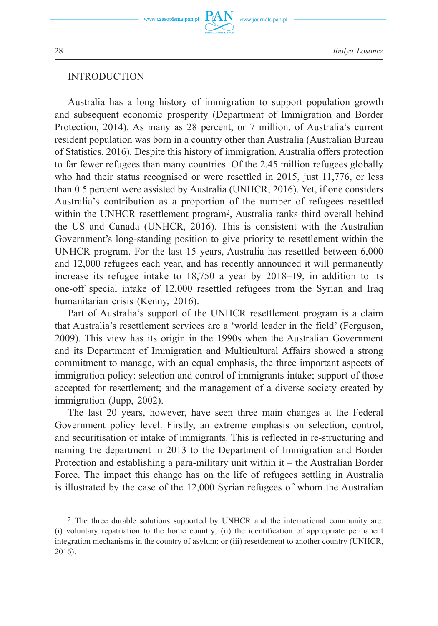

### INTRODUCTION

Australia has a long history of immigration to support population growth and subsequent economic prosperity (Department of Immigration and Border Protection, 2014). As many as 28 percent, or 7 million, of Australia's current resident population was born in a country other than Australia (Australian Bureau of Statistics, 2016). Despite this history of immigration, Australia offers protection to far fewer refugees than many countries. Of the 2.45 million refugees globally who had their status recognised or were resettled in 2015, just 11,776, or less than 0.5 percent were assisted by Australia (UNHCR, 2016). Yet, if one considers Australia's contribution as a proportion of the number of refugees resettled within the UNHCR resettlement program2, Australia ranks third overall behind the US and Canada (UNHCR, 2016). This is consistent with the Australian Government's long-standing position to give priority to resettlement within the UNHCR program. For the last 15 years, Australia has resettled between 6,000 and 12,000 refugees each year, and has recently announced it will permanently increase its refugee intake to 18,750 a year by 2018–19, in addition to its one-off special intake of 12,000 resettled refugees from the Syrian and Iraq humanitarian crisis (Kenny, 2016).

Part of Australia's support of the UNHCR resettlement program is a claim that Australia's resettlement services are a 'world leader in the field' (Ferguson, 2009). This view has its origin in the 1990s when the Australian Government and its Department of Immigration and Multicultural Affairs showed a strong commitment to manage, with an equal emphasis, the three important aspects of immigration policy: selection and control of immigrants intake; support of those accepted for resettlement; and the management of a diverse society created by immigration (Jupp, 2002).

The last 20 years, however, have seen three main changes at the Federal Government policy level. Firstly, an extreme emphasis on selection, control, and securitisation of intake of immigrants. This is reflected in re-structuring and naming the department in 2013 to the Department of Immigration and Border Protection and establishing a para-military unit within it – the Australian Border Force. The impact this change has on the life of refugees settling in Australia is illustrated by the case of the 12,000 Syrian refugees of whom the Australian

<sup>2</sup> The three durable solutions supported by UNHCR and the international community are: (i) voluntary repatriation to the home country; (ii) the identification of appropriate permanent integration mechanisms in the country of asylum; or (iii) resettlement to another country (UNHCR, 2016).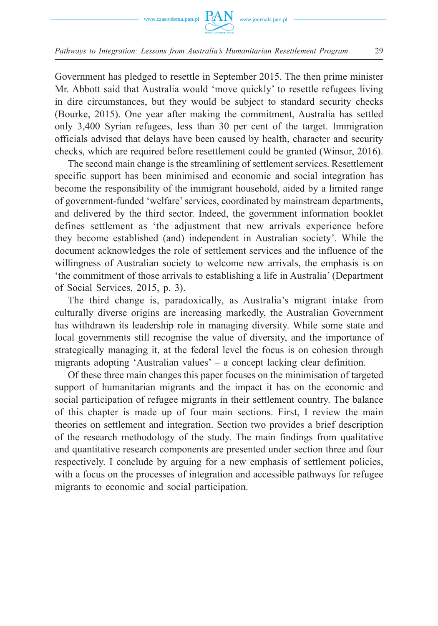

Government has pledged to resettle in September 2015. The then prime minister Mr. Abbott said that Australia would 'move quickly' to resettle refugees living in dire circumstances, but they would be subject to standard security checks (Bourke, 2015). One year after making the commitment, Australia has settled only 3,400 Syrian refugees, less than 30 per cent of the target. Immigration officials advised that delays have been caused by health, character and security checks, which are required before resettlement could be granted (Winsor, 2016).

The second main change is the streamlining of settlement services. Resettlement specific support has been minimised and economic and social integration has become the responsibility of the immigrant household, aided by a limited range of government-funded 'welfare' services, coordinated by mainstream departments, and delivered by the third sector. Indeed, the government information booklet defines settlement as 'the adjustment that new arrivals experience before they become established (and) independent in Australian society'. While the document acknowledges the role of settlement services and the influence of the willingness of Australian society to welcome new arrivals, the emphasis is on 'the commitment of those arrivals to establishing a life in Australia' (Department of Social Services, 2015, p. 3).

The third change is, paradoxically, as Australia's migrant intake from culturally diverse origins are increasing markedly, the Australian Government has withdrawn its leadership role in managing diversity. While some state and local governments still recognise the value of diversity, and the importance of strategically managing it, at the federal level the focus is on cohesion through migrants adopting 'Australian values' – a concept lacking clear definition.

Of these three main changes this paper focuses on the minimisation of targeted support of humanitarian migrants and the impact it has on the economic and social participation of refugee migrants in their settlement country. The balance of this chapter is made up of four main sections. First, I review the main theories on settlement and integration. Section two provides a brief description of the research methodology of the study. The main findings from qualitative and quantitative research components are presented under section three and four respectively. I conclude by arguing for a new emphasis of settlement policies, with a focus on the processes of integration and accessible pathways for refugee migrants to economic and social participation.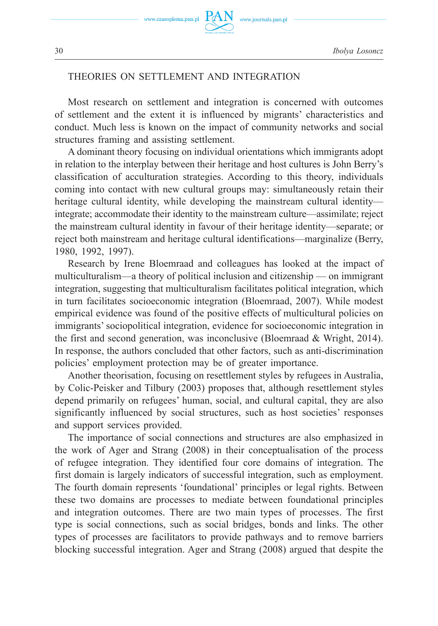www.journals.pan.pl

## THEORIES ON SETTLEMENT AND INTEGRATION

Most research on settlement and integration is concerned with outcomes of settlement and the extent it is influenced by migrants' characteristics and conduct. Much less is known on the impact of community networks and social structures framing and assisting settlement.

A dominant theory focusing on individual orientations which immigrants adopt in relation to the interplay between their heritage and host cultures is John Berry's classification of acculturation strategies. According to this theory, individuals coming into contact with new cultural groups may: simultaneously retain their heritage cultural identity, while developing the mainstream cultural identity integrate; accommodate their identity to the mainstream culture—assimilate; reject the mainstream cultural identity in favour of their heritage identity—separate; or reject both mainstream and heritage cultural identifications—marginalize (Berry, 1980, 1992, 1997).

Research by Irene Bloemraad and colleagues has looked at the impact of multiculturalism—a theory of political inclusion and citizenship — on immigrant integration, suggesting that multiculturalism facilitates political integration, which in turn facilitates socioeconomic integration (Bloemraad, 2007). While modest empirical evidence was found of the positive effects of multicultural policies on immigrants' sociopolitical integration, evidence for socioeconomic integration in the first and second generation, was inconclusive (Bloemraad & Wright, 2014). In response, the authors concluded that other factors, such as anti-discrimination policies' employment protection may be of greater importance.

Another theorisation, focusing on resettlement styles by refugees in Australia, by Colic-Peisker and Tilbury (2003) proposes that, although resettlement styles depend primarily on refugees' human, social, and cultural capital, they are also significantly influenced by social structures, such as host societies' responses and support services provided.

The importance of social connections and structures are also emphasized in the work of Ager and Strang (2008) in their conceptualisation of the process of refugee integration. They identified four core domains of integration. The first domain is largely indicators of successful integration, such as employment. The fourth domain represents 'foundational' principles or legal rights. Between these two domains are processes to mediate between foundational principles and integration outcomes. There are two main types of processes. The first type is social connections, such as social bridges, bonds and links. The other types of processes are facilitators to provide pathways and to remove barriers blocking successful integration. Ager and Strang (2008) argued that despite the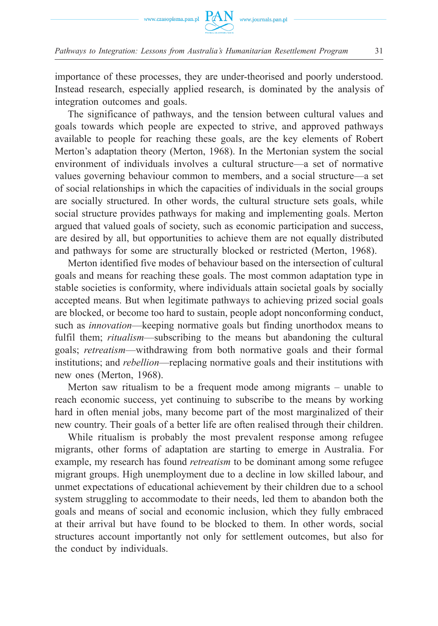

importance of these processes, they are under-theorised and poorly understood. Instead research, especially applied research, is dominated by the analysis of integration outcomes and goals.

The significance of pathways, and the tension between cultural values and goals towards which people are expected to strive, and approved pathways available to people for reaching these goals, are the key elements of Robert Merton's adaptation theory (Merton, 1968). In the Mertonian system the social environment of individuals involves a cultural structure—a set of normative values governing behaviour common to members, and a social structure—a set of social relationships in which the capacities of individuals in the social groups are socially structured. In other words, the cultural structure sets goals, while social structure provides pathways for making and implementing goals. Merton argued that valued goals of society, such as economic participation and success, are desired by all, but opportunities to achieve them are not equally distributed and pathways for some are structurally blocked or restricted (Merton, 1968).

Merton identified five modes of behaviour based on the intersection of cultural goals and means for reaching these goals. The most common adaptation type in stable societies is conformity, where individuals attain societal goals by socially accepted means. But when legitimate pathways to achieving prized social goals are blocked, or become too hard to sustain, people adopt nonconforming conduct, such as *innovation*—keeping normative goals but finding unorthodox means to fulfil them; *ritualism*—subscribing to the means but abandoning the cultural goals; *retreatism*—withdrawing from both normative goals and their formal institutions; and *rebellion*—replacing normative goals and their institutions with new ones (Merton, 1968).

Merton saw ritualism to be a frequent mode among migrants – unable to reach economic success, yet continuing to subscribe to the means by working hard in often menial jobs, many become part of the most marginalized of their new country. Their goals of a better life are often realised through their children.

While ritualism is probably the most prevalent response among refugee migrants, other forms of adaptation are starting to emerge in Australia. For example, my research has found *retreatism* to be dominant among some refugee migrant groups. High unemployment due to a decline in low skilled labour, and unmet expectations of educational achievement by their children due to a school system struggling to accommodate to their needs, led them to abandon both the goals and means of social and economic inclusion, which they fully embraced at their arrival but have found to be blocked to them. In other words, social structures account importantly not only for settlement outcomes, but also for the conduct by individuals.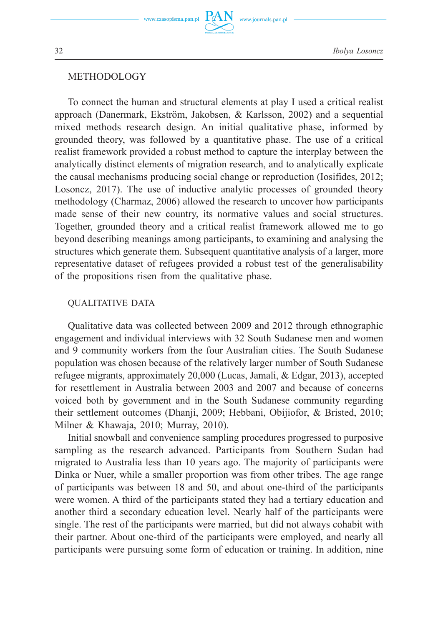### **METHODOLOGY**

To connect the human and structural elements at play I used a critical realist approach (Danermark, Ekström, Jakobsen, & Karlsson, 2002) and a sequential mixed methods research design. An initial qualitative phase, informed by grounded theory, was followed by a quantitative phase. The use of a critical realist framework provided a robust method to capture the interplay between the analytically distinct elements of migration research, and to analytically explicate the causal mechanisms producing social change or reproduction (Iosifides, 2012; Losoncz, 2017). The use of inductive analytic processes of grounded theory methodology (Charmaz, 2006) allowed the research to uncover how participants made sense of their new country, its normative values and social structures. Together, grounded theory and a critical realist framework allowed me to go beyond describing meanings among participants, to examining and analysing the structures which generate them. Subsequent quantitative analysis of a larger, more representative dataset of refugees provided a robust test of the generalisability of the propositions risen from the qualitative phase.

### QUALITATIVE DATA

Qualitative data was collected between 2009 and 2012 through ethnographic engagement and individual interviews with 32 South Sudanese men and women and 9 community workers from the four Australian cities. The South Sudanese population was chosen because of the relatively larger number of South Sudanese refugee migrants, approximately 20,000 (Lucas, Jamali, & Edgar, 2013), accepted for resettlement in Australia between 2003 and 2007 and because of concerns voiced both by government and in the South Sudanese community regarding their settlement outcomes (Dhanji, 2009; Hebbani, Obijiofor, & Bristed, 2010; Milner & Khawaja, 2010; Murray, 2010).

Initial snowball and convenience sampling procedures progressed to purposive sampling as the research advanced. Participants from Southern Sudan had migrated to Australia less than 10 years ago. The majority of participants were Dinka or Nuer, while a smaller proportion was from other tribes. The age range of participants was between 18 and 50, and about one-third of the participants were women. A third of the participants stated they had a tertiary education and another third a secondary education level. Nearly half of the participants were single. The rest of the participants were married, but did not always cohabit with their partner. About one-third of the participants were employed, and nearly all participants were pursuing some form of education or training. In addition, nine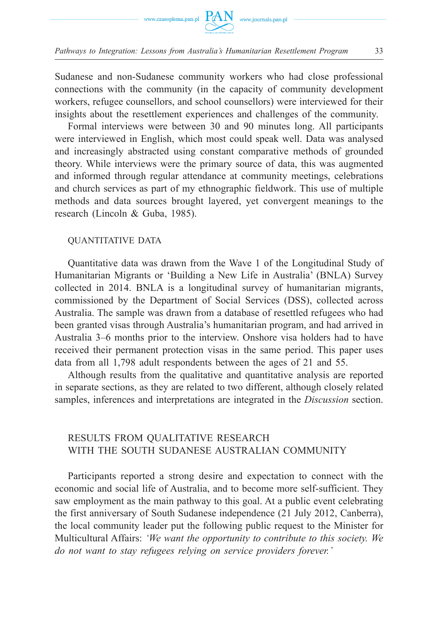

Sudanese and non-Sudanese community workers who had close professional connections with the community (in the capacity of community development workers, refugee counsellors, and school counsellors) were interviewed for their insights about the resettlement experiences and challenges of the community.

Formal interviews were between 30 and 90 minutes long. All participants were interviewed in English, which most could speak well. Data was analysed and increasingly abstracted using constant comparative methods of grounded theory. While interviews were the primary source of data, this was augmented and informed through regular attendance at community meetings, celebrations and church services as part of my ethnographic fieldwork. This use of multiple methods and data sources brought layered, yet convergent meanings to the research (Lincoln & Guba, 1985).

#### QUANTITATIVE DATA

Quantitative data was drawn from the Wave 1 of the Longitudinal Study of Humanitarian Migrants or 'Building a New Life in Australia' (BNLA) Survey collected in 2014. BNLA is a longitudinal survey of humanitarian migrants, commissioned by the Department of Social Services (DSS), collected across Australia. The sample was drawn from a database of resettled refugees who had been granted visas through Australia's humanitarian program, and had arrived in Australia 3–6 months prior to the interview. Onshore visa holders had to have received their permanent protection visas in the same period. This paper uses data from all 1,798 adult respondents between the ages of 21 and 55.

Although results from the qualitative and quantitative analysis are reported in separate sections, as they are related to two different, although closely related samples, inferences and interpretations are integrated in the *Discussion* section.

### RESULTS FROM QUALITATIVE RESEARCH WITH THE SOUTH SUDANESE AUSTRALIAN COMMUNITY

Participants reported a strong desire and expectation to connect with the economic and social life of Australia, and to become more self-sufficient. They saw employment as the main pathway to this goal. At a public event celebrating the first anniversary of South Sudanese independence (21 July 2012, Canberra), the local community leader put the following public request to the Minister for Multicultural Affairs: *'We want the opportunity to contribute to this society. We do not want to stay refugees relying on service providers forever.'*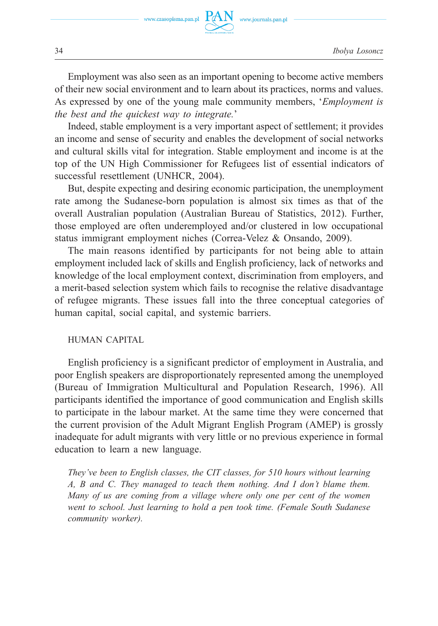

Employment was also seen as an important opening to become active members of their new social environment and to learn about its practices, norms and values. As expressed by one of the young male community members, '*Employment is the best and the quickest way to integrate.*'

Indeed, stable employment is a very important aspect of settlement; it provides an income and sense of security and enables the development of social networks and cultural skills vital for integration. Stable employment and income is at the top of the UN High Commissioner for Refugees list of essential indicators of successful resettlement (UNHCR, 2004).

But, despite expecting and desiring economic participation, the unemployment rate among the Sudanese-born population is almost six times as that of the overall Australian population (Australian Bureau of Statistics, 2012). Further, those employed are often underemployed and/or clustered in low occupational status immigrant employment niches (Correa-Velez & Onsando, 2009).

The main reasons identified by participants for not being able to attain employment included lack of skills and English proficiency, lack of networks and knowledge of the local employment context, discrimination from employers, and a merit-based selection system which fails to recognise the relative disadvantage of refugee migrants. These issues fall into the three conceptual categories of human capital, social capital, and systemic barriers.

#### HUMAN CAPITAL

English proficiency is a significant predictor of employment in Australia, and poor English speakers are disproportionately represented among the unemployed (Bureau of Immigration Multicultural and Population Research, 1996). All participants identified the importance of good communication and English skills to participate in the labour market. At the same time they were concerned that the current provision of the Adult Migrant English Program (AMEP) is grossly inadequate for adult migrants with very little or no previous experience in formal education to learn a new language.

*They've been to English classes, the CIT classes, for 510 hours without learning A, B and C. They managed to teach them nothing. And I don't blame them. Many of us are coming from a village where only one per cent of the women went to school. Just learning to hold a pen took time. (Female South Sudanese community worker).*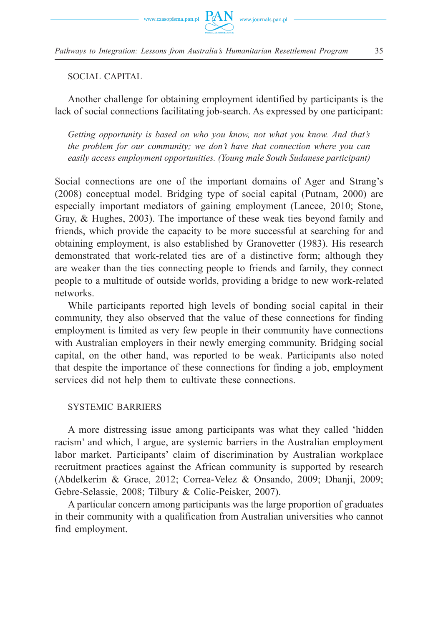



SOCIAL CAPITAL

Another challenge for obtaining employment identified by participants is the lack of social connections facilitating job-search. As expressed by one participant:

*Getting opportunity is based on who you know, not what you know. And that's the problem for our community; we don't have that connection where you can easily access employment opportunities. (Young male South Sudanese participant)* 

Social connections are one of the important domains of Ager and Strang's (2008) conceptual model. Bridging type of social capital (Putnam, 2000) are especially important mediators of gaining employment (Lancee, 2010; Stone, Gray, & Hughes, 2003). The importance of these weak ties beyond family and friends, which provide the capacity to be more successful at searching for and obtaining employment, is also established by Granovetter (1983). His research demonstrated that work-related ties are of a distinctive form; although they are weaker than the ties connecting people to friends and family, they connect people to a multitude of outside worlds, providing a bridge to new work-related networks.

While participants reported high levels of bonding social capital in their community, they also observed that the value of these connections for finding employment is limited as very few people in their community have connections with Australian employers in their newly emerging community. Bridging social capital, on the other hand, was reported to be weak. Participants also noted that despite the importance of these connections for finding a job, employment services did not help them to cultivate these connections.

# SYSTEMIC BARRIERS

A more distressing issue among participants was what they called 'hidden racism' and which, I argue, are systemic barriers in the Australian employment labor market. Participants' claim of discrimination by Australian workplace recruitment practices against the African community is supported by research (Abdelkerim & Grace, 2012; Correa-Velez & Onsando, 2009; Dhanji, 2009; Gebre-Selassie, 2008; Tilbury & Colic-Peisker, 2007).

A particular concern among participants was the large proportion of graduates in their community with a qualification from Australian universities who cannot find employment.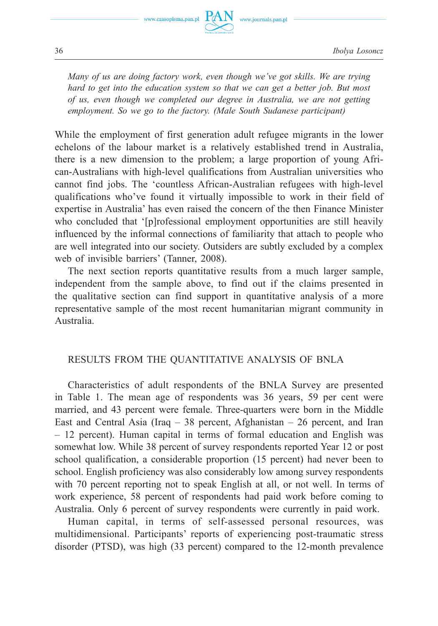

*Many of us are doing factory work, even though we've got skills. We are trying hard to get into the education system so that we can get a better job. But most of us, even though we completed our degree in Australia, we are not getting employment. So we go to the factory. (Male South Sudanese participant)* 

While the employment of first generation adult refugee migrants in the lower echelons of the labour market is a relatively established trend in Australia, there is a new dimension to the problem; a large proportion of young African-Australians with high-level qualifications from Australian universities who cannot find jobs. The 'countless African-Australian refugees with high-level qualifications who've found it virtually impossible to work in their field of expertise in Australia' has even raised the concern of the then Finance Minister who concluded that '[p]rofessional employment opportunities are still heavily influenced by the informal connections of familiarity that attach to people who are well integrated into our society. Outsiders are subtly excluded by a complex web of invisible barriers' (Tanner, 2008).

The next section reports quantitative results from a much larger sample, independent from the sample above, to find out if the claims presented in the qualitative section can find support in quantitative analysis of a more representative sample of the most recent humanitarian migrant community in Australia.

### RESULTS FROM THE QUANTITATIVE ANALYSIS OF BNLA

Characteristics of adult respondents of the BNLA Survey are presented in Table 1. The mean age of respondents was 36 years, 59 per cent were married, and 43 percent were female. Three-quarters were born in the Middle East and Central Asia (Iraq  $-38$  percent, Afghanistan  $-26$  percent, and Iran – 12 percent). Human capital in terms of formal education and English was somewhat low. While 38 percent of survey respondents reported Year 12 or post school qualification, a considerable proportion (15 percent) had never been to school. English proficiency was also considerably low among survey respondents with 70 percent reporting not to speak English at all, or not well. In terms of work experience, 58 percent of respondents had paid work before coming to Australia. Only 6 percent of survey respondents were currently in paid work.

Human capital, in terms of self-assessed personal resources, was multidimensional. Participants' reports of experiencing post-traumatic stress disorder (PTSD), was high (33 percent) compared to the 12-month prevalence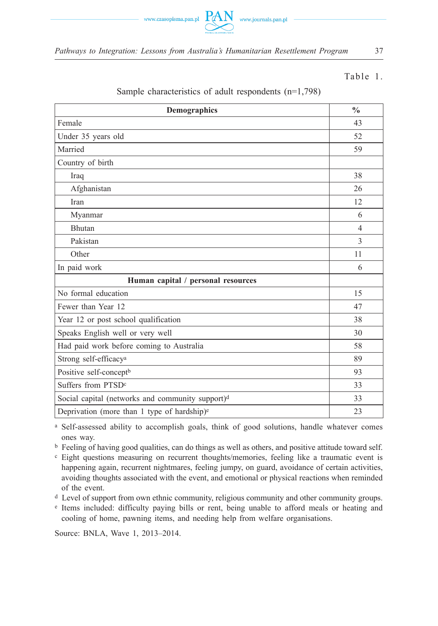

### Table 1.

| Demographics                                                 | $\frac{0}{0}$  |
|--------------------------------------------------------------|----------------|
| Female                                                       | 43             |
| Under 35 years old                                           | 52             |
| Married                                                      | 59             |
| Country of birth                                             |                |
| Iraq                                                         | 38             |
| Afghanistan                                                  | 26             |
| Iran                                                         | 12             |
| Myanmar                                                      | 6              |
| Bhutan                                                       | $\overline{4}$ |
| Pakistan                                                     | $\mathcal{E}$  |
| Other                                                        | 11             |
| In paid work                                                 | 6              |
| Human capital / personal resources                           |                |
| No formal education                                          | 15             |
| Fewer than Year 12                                           | 47             |
| Year 12 or post school qualification                         | 38             |
| Speaks English well or very well                             | 30             |
| Had paid work before coming to Australia                     | 58             |
| Strong self-efficacy <sup>a</sup>                            | 89             |
| Positive self-concept <sup>b</sup>                           | 93             |
| Suffers from PTSD <sup>c</sup>                               | 33             |
| Social capital (networks and community support) <sup>d</sup> | 33             |
| Deprivation (more than 1 type of hardship) <sup>e</sup>      | 23             |

### Sample characteristics of adult respondents (n=1,798)

a Self-assessed ability to accomplish goals, think of good solutions, handle whatever comes ones way.

b Feeling of having good qualities, can do things as well as others, and positive attitude toward self.

c Eight questions measuring on recurrent thoughts/memories, feeling like a traumatic event is happening again, recurrent nightmares, feeling jumpy, on guard, avoidance of certain activities, avoiding thoughts associated with the event, and emotional or physical reactions when reminded of the event.

d Level of support from own ethnic community, religious community and other community groups.

e Items included: difficulty paying bills or rent, being unable to afford meals or heating and cooling of home, pawning items, and needing help from welfare organisations.

Source: BNLA, Wave 1, 2013–2014.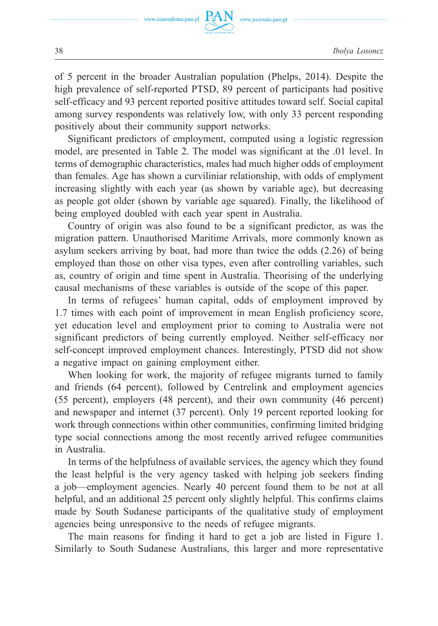of 5 percent in the broader Australian population (Phelps, 2014). Despite the high prevalence of self-reported PTSD, 89 percent of participants had positive self-efficacy and 93 percent reported positive attitudes toward self. Social capital among survey respondents was relatively low, with only 33 percent responding positively about their community support networks.

Significant predictors of employment, computed using a logistic regression model, are presented in Table 2. The model was significant at the .01 level. In terms of demographic characteristics, males had much higher odds of employment than females. Age has shown a curviliniar relationship, with odds of emplyment increasing slightly with each year (as shown by variable age), but decreasing as people got older (shown by variable age squared). Finally, the likelihood of being employed doubled with each year spent in Australia.

Country of origin was also found to be a significant predictor, as was the migration pattern. Unauthorised Maritime Arrivals, more commonly known as asylum seekers arriving by boat, had more than twice the odds (2.26) of being employed than those on other visa types, even after controlling variables, such as, country of origin and time spent in Australia. Theorising of the underlying causal mechanisms of these variables is outside of the scope of this paper.

In terms of refugees' human capital, odds of employment improved by 1.7 times with each point of improvement in mean English proficiency score, yet education level and employment prior to coming to Australia were not significant predictors of being currently employed. Neither self-efficacy nor self-concept improved employment chances. Interestingly, PTSD did not show a negative impact on gaining employment either.

When looking for work, the majority of refugee migrants turned to family and friends (64 percent), followed by Centrelink and employment agencies (55 percent), employers (48 percent), and their own community (46 percent) and newspaper and internet (37 percent). Only 19 percent reported looking for work through connections within other communities, confirming limited bridging type social connections among the most recently arrived refugee communities in Australia.

In terms of the helpfulness of available services, the agency which they found the least helpful is the very agency tasked with helping job seekers finding a job—employment agencies. Nearly 40 percent found them to be not at all helpful, and an additional 25 percent only slightly helpful. This confirms claims made by South Sudanese participants of the qualitative study of employment agencies being unresponsive to the needs of refugee migrants.

The main reasons for finding it hard to get a job are listed in Figure 1. Similarly to South Sudanese Australians, this larger and more representative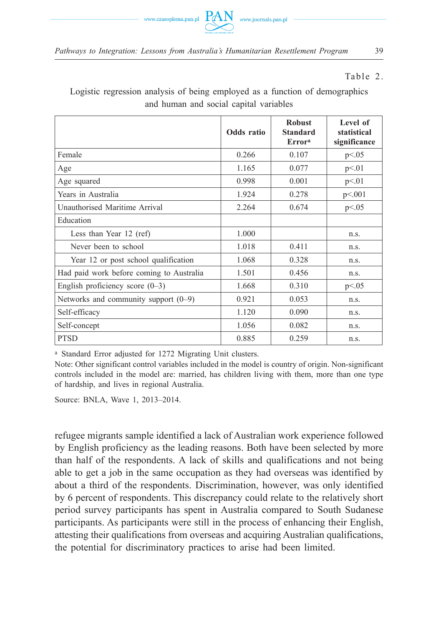

### Table 2.

Logistic regression analysis of being employed as a function of demographics and human and social capital variables

|                                          | Odds ratio | <b>Robust</b><br>Standard<br><b>Errora</b> | Level of<br>statistical<br>significance |
|------------------------------------------|------------|--------------------------------------------|-----------------------------------------|
| Female                                   | 0.266      | 0.107                                      | p<0.05                                  |
| Age                                      | 1.165      | 0.077                                      | p<01                                    |
| Age squared                              | 0.998      | 0.001                                      | p<01                                    |
| Years in Australia                       | 1.924      | 0.278                                      | p<.001                                  |
| Unauthorised Maritime Arrival            | 2.264      | 0.674                                      | p<0.05                                  |
| Education                                |            |                                            |                                         |
| Less than Year 12 (ref)                  | 1.000      |                                            | n.s.                                    |
| Never been to school                     | 1.018      | 0.411                                      | n.s.                                    |
| Year 12 or post school qualification     | 1.068      | 0.328                                      | n.s.                                    |
| Had paid work before coming to Australia | 1.501      | 0.456                                      | n.s.                                    |
| English proficiency score $(0-3)$        | 1.668      | 0.310                                      | p<0.05                                  |
| Networks and community support $(0-9)$   | 0.921      | 0.053                                      | n.S.                                    |
| Self-efficacy                            | 1.120      | 0.090                                      | n.S.                                    |
| Self-concept                             | 1.056      | 0.082                                      | n.s.                                    |
| <b>PTSD</b>                              | 0.885      | 0.259                                      | n.s.                                    |

a Standard Error adjusted for 1272 Migrating Unit clusters.

Note: Other significant control variables included in the model is country of origin. Non-significant controls included in the model are: married, has children living with them, more than one type of hardship, and lives in regional Australia.

Source: BNLA, Wave 1, 2013–2014.

refugee migrants sample identified a lack of Australian work experience followed by English proficiency as the leading reasons. Both have been selected by more than half of the respondents. A lack of skills and qualifications and not being able to get a job in the same occupation as they had overseas was identified by about a third of the respondents. Discrimination, however, was only identified by 6 percent of respondents. This discrepancy could relate to the relatively short period survey participants has spent in Australia compared to South Sudanese participants. As participants were still in the process of enhancing their English, attesting their qualifications from overseas and acquiring Australian qualifications, the potential for discriminatory practices to arise had been limited.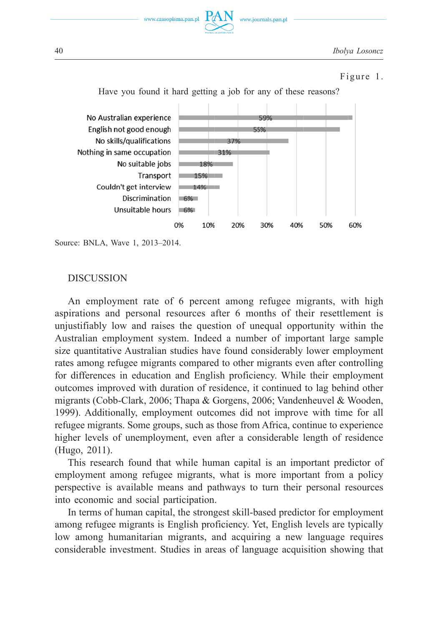**and**  $**D**$  **compared to South Sudanese participants. As participants. As participants were participants. As participants were participants. As participants were participants. As participants were participants were**  $PAN$ process of enthances of the internal from our community their qualitations from our season of the season of the internal contractions from our contractions of the season of the season of the season of the season of the sea of the ack and  $\sum_{n=1}^{\infty} \sum_{n=1}^{\infty}$  www.journals.pan.pl<br>  $\frac{1}{\text{bolya Lossoncz}}$ <br>  $\frac{1}{\text{bolya Lossoncz}}$  $i$ uww.czasopisma.pan.pl  $\underbrace{PAN}_{\text{max.axarants was}}$  www.journals.pan.pl mw.casopisma.pan.pr

40 *Ibolya Losoncz*

### Figure 1.



Have you found it hard getting a job for any of these reasons?  $e^{i\theta}$   $e^{i\theta}$   $e^{i\theta}$   $e^{i\theta}$   $e^{i\theta}$   $e^{i\theta}$   $i\theta$   $j\theta$   $k\theta$   $k\theta$   $k\theta$   $k\theta$   $k\theta$   $k\theta$   $k\theta$   $k\theta$   $k\theta$   $k\theta$   $k\theta$   $k\theta$   $k\theta$   $k\theta$   $k\theta$   $k\theta$   $k\theta$   $k\theta$   $k\theta$   $k\theta$   $k\theta$   $k\theta$   $k\theta$   $k\theta$   $k\theta$   $k\theta$ 

 $\Delta t$  and  $\Delta t$  and  $\Delta t$  arise hand, the potential for discriminatory practices to arise hand, the potential for discrimination of the potential for discrimination of the potential for discrimination of the potential for

Source: BNLA, Wave 1, 2013–2014.

### DISCUSSION

An employment rate of 6 percent among refugee migrants, with high aspirations and personal resources after 6 months of their resettlement is aspirations and personal resources after 6 months of their resettlement is<br>unjustifiably low and raises the question of unequal opportunity within the suanan employment system. Indeed a number of important large sample size quantitative Australian studies have found considerably lower employment For differences in education and English proficiency. While their employment employment of migrants (Cobb-Clark, 2006; Thapa & Gorgens, 2006; Vandenheuvel & Wooden,<br>
1999). Additionally, employment outcomes did not improve with time for all 1999). Additionally, employment outcomes did not improve with time for all<br>refugee migrants. Some groups, such as those from Africa, continue to experience<br>higher levels of unemployment, even after a considerable length of refugee migrants. Some groups, such as those from Africa, continue to experience<br>higher levels of unemployment, even after a considerable length of residence  $\bar{h}$ er 1 employment system.<br>
Equantitative Australian studies<br>
s among refugee migrants com<br>
differences in education and l<br>
comes improved with duration<br>
rrants (Cobb-Clark, 2006; Than  $T(t)$ Have you<br>
No Australian e<br>
English not goo<br>
No skills/qua<br>
Nothing in same o<br>
No sui<br>
Couldn't get<br>
Discr<br>
Unsuita<br>
Couldn't get<br>
Discr<br>
Unsuita<br>
Couldn't get<br>
Discr<br>
Unsuita<br>
Couldn't get<br>
Discr<br>
Unsuita<br>
Couldn't get<br>
Di outcomes improved with duration and English providence, it continued to lag behind other migrants (Cobb Clark, 2006; Thans & Gersons, 2006; Vandenheuvel & Wooden resources after 6 months of their resettlement is<br>ises the question of unequal opportunity within the<br>system. Indeed a number of important large sample<br>in studies have found considerably lower employment al opportunity within the<br>of important large sample<br>derably lower employment Found while capital is in the property of the capital capital capital is in the property of the capital is in the capital is in the capital is in the capital is in the capital is in the capital is in the confirmed transiti size quantitative Australian studies have found considerably lower employment<br>rates among refugee migrants compared to other migrants even after controlling continue to experience<br>ble length of residence Australian employment system. Indeed a number of important large sample higher levels of unemployment, even after a considerable length of residence (Hugo, 2011).

This research found that while human capital is an important predictor of (Hugo, 2011).<br>
This research found that while human capital is an important predictor of<br>
employment among refugee migrants, what is more important from a policy perspective is available means and pathways to turn their personal resources into economic and social participation.

In terms of human capital, the strongest skill-based predictor for employment among refugee migrants is English proficiency. Yet, English levels are typically low among humanitarian migrants, and acquiring a new language requires considerable investment. Studies in areas of language acquisition showing that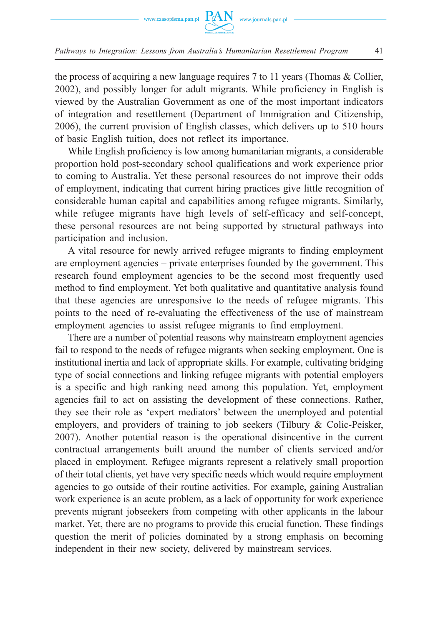

the process of acquiring a new language requires 7 to 11 years (Thomas & Collier, 2002), and possibly longer for adult migrants. While proficiency in English is viewed by the Australian Government as one of the most important indicators of integration and resettlement (Department of Immigration and Citizenship, 2006), the current provision of English classes, which delivers up to 510 hours of basic English tuition, does not reflect its importance.

While English proficiency is low among humanitarian migrants, a considerable proportion hold post-secondary school qualifications and work experience prior to coming to Australia. Yet these personal resources do not improve their odds of employment, indicating that current hiring practices give little recognition of considerable human capital and capabilities among refugee migrants. Similarly, while refugee migrants have high levels of self-efficacy and self-concept, these personal resources are not being supported by structural pathways into participation and inclusion.

A vital resource for newly arrived refugee migrants to finding employment are employment agencies – private enterprises founded by the government. This research found employment agencies to be the second most frequently used method to find employment. Yet both qualitative and quantitative analysis found that these agencies are unresponsive to the needs of refugee migrants. This points to the need of re-evaluating the effectiveness of the use of mainstream employment agencies to assist refugee migrants to find employment.

There are a number of potential reasons why mainstream employment agencies fail to respond to the needs of refugee migrants when seeking employment. One is institutional inertia and lack of appropriate skills. For example, cultivating bridging type of social connections and linking refugee migrants with potential employers is a specific and high ranking need among this population. Yet, employment agencies fail to act on assisting the development of these connections. Rather, they see their role as 'expert mediators' between the unemployed and potential employers, and providers of training to job seekers (Tilbury & Colic-Peisker, 2007). Another potential reason is the operational disincentive in the current contractual arrangements built around the number of clients serviced and/or placed in employment. Refugee migrants represent a relatively small proportion of their total clients, yet have very specific needs which would require employment agencies to go outside of their routine activities. For example, gaining Australian work experience is an acute problem, as a lack of opportunity for work experience prevents migrant jobseekers from competing with other applicants in the labour market. Yet, there are no programs to provide this crucial function. These findings question the merit of policies dominated by a strong emphasis on becoming independent in their new society, delivered by mainstream services.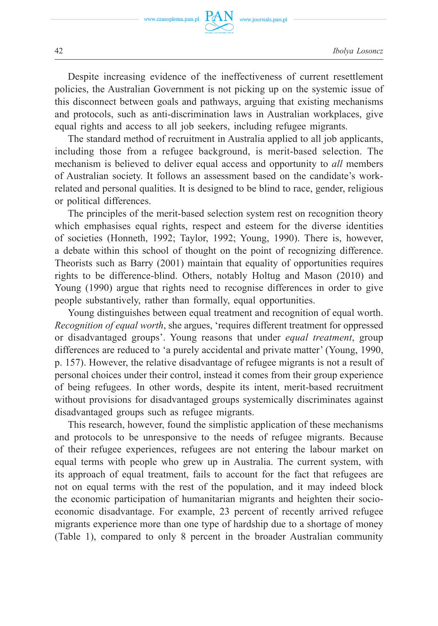

Despite increasing evidence of the ineffectiveness of current resettlement policies, the Australian Government is not picking up on the systemic issue of this disconnect between goals and pathways, arguing that existing mechanisms and protocols, such as anti-discrimination laws in Australian workplaces, give equal rights and access to all job seekers, including refugee migrants.

The standard method of recruitment in Australia applied to all job applicants, including those from a refugee background, is merit-based selection. The mechanism is believed to deliver equal access and opportunity to *all* members of Australian society. It follows an assessment based on the candidate's workrelated and personal qualities. It is designed to be blind to race, gender, religious or political differences.

The principles of the merit-based selection system rest on recognition theory which emphasises equal rights, respect and esteem for the diverse identities of societies (Honneth, 1992; Taylor, 1992; Young, 1990). There is, however, a debate within this school of thought on the point of recognizing difference. Theorists such as Barry (2001) maintain that equality of opportunities requires rights to be difference-blind. Others, notably Holtug and Mason (2010) and Young (1990) argue that rights need to recognise differences in order to give people substantively, rather than formally, equal opportunities.

Young distinguishes between equal treatment and recognition of equal worth. *Recognition of equal worth*, she argues, 'requires different treatment for oppressed or disadvantaged groups'. Young reasons that under *equal treatment*, group differences are reduced to 'a purely accidental and private matter' (Young, 1990, p. 157). However, the relative disadvantage of refugee migrants is not a result of personal choices under their control, instead it comes from their group experience of being refugees. In other words, despite its intent, merit-based recruitment without provisions for disadvantaged groups systemically discriminates against disadvantaged groups such as refugee migrants.

This research, however, found the simplistic application of these mechanisms and protocols to be unresponsive to the needs of refugee migrants. Because of their refugee experiences, refugees are not entering the labour market on equal terms with people who grew up in Australia. The current system, with its approach of equal treatment, fails to account for the fact that refugees are not on equal terms with the rest of the population, and it may indeed block the economic participation of humanitarian migrants and heighten their socioeconomic disadvantage. For example, 23 percent of recently arrived refugee migrants experience more than one type of hardship due to a shortage of money (Table 1), compared to only 8 percent in the broader Australian community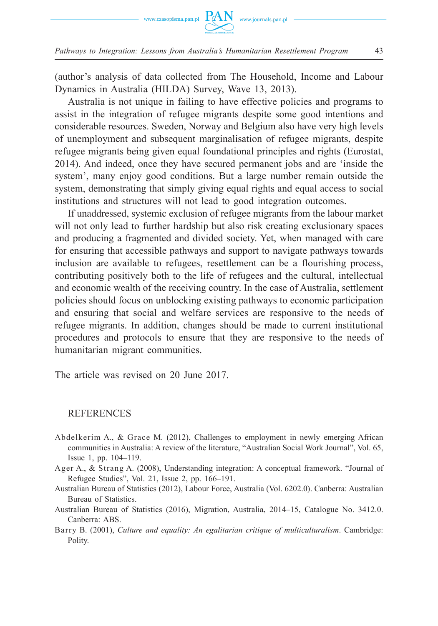

(author's analysis of data collected from The Household, Income and Labour Dynamics in Australia (HILDA) Survey, Wave 13, 2013).

Australia is not unique in failing to have effective policies and programs to assist in the integration of refugee migrants despite some good intentions and considerable resources. Sweden, Norway and Belgium also have very high levels of unemployment and subsequent marginalisation of refugee migrants, despite refugee migrants being given equal foundational principles and rights (Eurostat, 2014). And indeed, once they have secured permanent jobs and are 'inside the system', many enjoy good conditions. But a large number remain outside the system, demonstrating that simply giving equal rights and equal access to social institutions and structures will not lead to good integration outcomes.

If unaddressed, systemic exclusion of refugee migrants from the labour market will not only lead to further hardship but also risk creating exclusionary spaces and producing a fragmented and divided society. Yet, when managed with care for ensuring that accessible pathways and support to navigate pathways towards inclusion are available to refugees, resettlement can be a flourishing process, contributing positively both to the life of refugees and the cultural, intellectual and economic wealth of the receiving country. In the case of Australia, settlement policies should focus on unblocking existing pathways to economic participation and ensuring that social and welfare services are responsive to the needs of refugee migrants. In addition, changes should be made to current institutional procedures and protocols to ensure that they are responsive to the needs of humanitarian migrant communities.

The article was revised on 20 June 2017.

### **REFERENCES**

- Abdelkerim A., & Grace M. (2012), Challenges to employment in newly emerging African communities in Australia: A review of the literature, "Australian Social Work Journal", Vol. 65, Issue 1, pp. 104–119.
- Ager A., & Strang A. (2008), Understanding integration: A conceptual framework. "Journal of Refugee Studies", Vol. 21, Issue 2, pp. 166–191.
- Australian Bureau of Statistics (2012), Labour Force, Australia (Vol. 6202.0). Canberra: Australian Bureau of Statistics.
- Australian Bureau of Statistics (2016), Migration, Australia, 2014–15, Catalogue No. 3412.0. Canberra: ABS.
- B arry B. (2001), *Culture and equality: An egalitarian critique of multiculturalism*. Cambridge: Polity.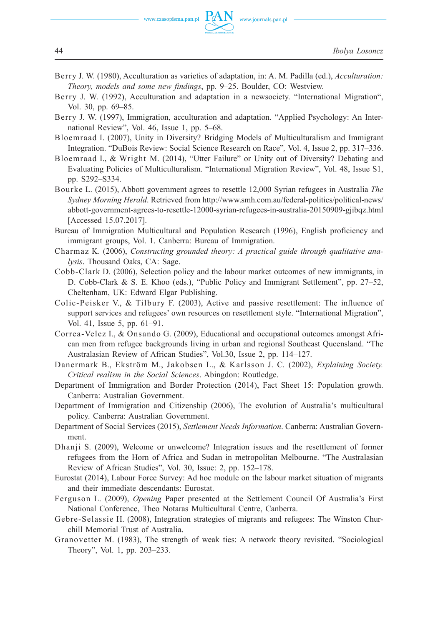- B erry J. W. (1980), Acculturation as varieties of adaptation, in: A. M. Padilla (ed.), *Acculturation: Theory, models and some new findings*, pp. 9–25. Boulder, CO: Westview.
- B erry J. W. (1992), Acculturation and adaptation in a newsociety. "International Migration", Vol. 30, pp. 69–85.
- B erry J. W. (1997), Immigration, acculturation and adaptation. "Applied Psychology: An International Review", Vol. 46, Issue 1, pp. 5–68.
- B loemraad I. (2007), Unity in Diversity? Bridging Models of Multiculturalism and Immigrant Integration. "DuBois Review: Social Science Research on Race"*,* Vol. 4, Issue 2, pp. 317–336.
- B loemraad I., & Wright M. (2014), "Utter Failure" or Unity out of Diversity? Debating and Evaluating Policies of Multiculturalism. "International Migration Review", Vol. 48, Issue S1, pp. S292–S334.
- B ourke L. (2015), Abbott government agrees to resettle 12,000 Syrian refugees in Australia *The Sydney Morning Herald*. Retrieved from http://www.smh.com.au/federal-politics/political-news/ abbott-government-agrees-to-resettle-12000-syrian-refugees-in-australia-20150909-gjibqz.html [Accessed 15.07.2017].
- Bureau of Immigration Multicultural and Population Research (1996), English proficiency and immigrant groups, Vol. 1. Canberra: Bureau of Immigration.
- C harmaz K. (2006), *Constructing grounded theory: A practical guide through qualitative analysis*. Thousand Oaks, CA: Sage.
- C obb-Clark D. (2006), Selection policy and the labour market outcomes of new immigrants, in D. Cobb-Clark & S. E. Khoo (eds.), "Public Policy and Immigrant Settlement", pp. 27–52, Cheltenham, UK: Edward Elgar Publishing.
- Colic-Peisker V., & Tilbury F. (2003), Active and passive resettlement: The influence of support services and refugees' own resources on resettlement style. "International Migration", Vol. 41, Issue 5, pp. 61–91.
- C orrea-Velez I., & Onsando G. (2009), Educational and occupational outcomes amongst African men from refugee backgrounds living in urban and regional Southeast Queensland. "The Australasian Review of African Studies", Vol.30, Issue 2, pp. 114–127.
- D anermark B., Ekström M., Jakobsen L., & Karlsson J. C. (2002), *Explaining Society. Critical realism in the Social Sciences*. Abingdon: Routledge.
- Department of Immigration and Border Protection (2014), Fact Sheet 15: Population growth. Canberra: Australian Government.
- D epartment of Immigration and Citizenship (2006), The evolution of Australia's multicultural policy. Canberra: Australian Government.
- D epartment of Social Services (2015), *Settlement Needs Information*. Canberra: Australian Government.
- Dhanji S. (2009), Welcome or unwelcome? Integration issues and the resettlement of former refugees from the Horn of Africa and Sudan in metropolitan Melbourne. "The Australasian Review of African Studies", Vol. 30, Issue: 2, pp. 152–178.
- Eurostat (2014), Labour Force Survey: Ad hoc module on the labour market situation of migrants and their immediate descendants: Eurostat.
- F erguson L. (2009), *Opening* Paper presented at the Settlement Council Of Australia's First National Conference, Theo Notaras Multicultural Centre, Canberra.
- G ebre-Selassie H. (2008), Integration strategies of migrants and refugees: The Winston Churchill Memorial Trust of Australia.
- Granovetter M. (1983), The strength of weak ties: A network theory revisited. "Sociological Theory", Vol. 1, pp. 203–233.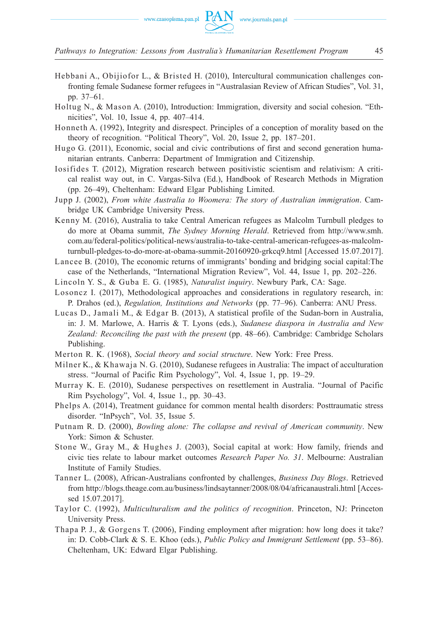*Pathways to Integration: Lessons from Australia's Humanitarian Resettlement Program* 45

- H ebbani A., Obijiofor L., & Bristed H. (2010), Intercultural communication challenges confronting female Sudanese former refugees in "Australasian Review of African Studies", Vol. 31, pp. 37–61.
- Holtug N., & Mason A. (2010), Introduction: Immigration, diversity and social cohesion. "Ethnicities", Vol. 10, Issue 4, pp. 407–414.
- H onneth A. (1992), Integrity and disrespect. Principles of a conception of morality based on the theory of recognition. "Political Theory", Vol. 20, Issue 2, pp. 187–201.
- Hugo G. (2011), Economic, social and civic contributions of first and second generation humanitarian entrants. Canberra: Department of Immigration and Citizenship.
- I osifides T. (2012), Migration research between positivistic scientism and relativism: A critical realist way out, in C. Vargas-Silva (Ed.), Handbook of Research Methods in Migration (pp. 26–49), Cheltenham: Edward Elgar Publishing Limited.
- J upp J. (2002), *From white Australia to Woomera: The story of Australian immigration*. Cambridge UK Cambridge University Press.
- K enny M. (2016), Australia to take Central American refugees as Malcolm Turnbull pledges to do more at Obama summit, *The Sydney Morning Herald*. Retrieved from http://www.smh. com.au/federal-politics/political-news/australia-to-take-central-american-refugees-as-malcolmturnbull-pledges-to-do-more-at-obama-summit-20160920-grkcq9.html [Accessed 15.07.2017].
- L ancee B. (2010), The economic returns of immigrants' bonding and bridging social capital:The case of the Netherlands, "International Migration Review", Vol. 44, Issue 1, pp. 202–226.
- L incoln Y. S., & Guba E. G. (1985), *Naturalist inquiry*. Newbury Park, CA: Sage.
- Losoncz I. (2017), Methodological approaches and considerations in regulatory research, in: P. Drahos (ed.), *Regulation, Institutions and Networks* (pp. 77–96). Canberra: ANU Press.
- L ucas D., Jamali M., & Edgar B. (2013), A statistical profile of the Sudan-born in Australia, in: J. M. Marlowe, A. Harris & T. Lyons (eds.), *Sudanese diaspora in Australia and New Zealand: Reconciling the past with the present* (pp. 48–66). Cambridge: Cambridge Scholars Publishing.
- M erton R. K. (1968), *Social theory and social structure*. New York: Free Press.
- Milner K., & Khawaja N. G. (2010), Sudanese refugees in Australia: The impact of acculturation stress. "Journal of Pacific Rim Psychology", Vol. 4, Issue 1, pp. 19–29.
- Murray K. E. (2010), Sudanese perspectives on resettlement in Australia. "Journal of Pacific Rim Psychology", Vol. 4, Issue 1., pp. 30–43.
- P helps A. (2014), Treatment guidance for common mental health disorders: Posttraumatic stress disorder. "InPsych", Vol. 35, Issue 5.
- P utnam R. D. (2000), *Bowling alone: The collapse and revival of American community*. New York: Simon & Schuster.
- S tone W., Gray M., & Hughes J. (2003), Social capital at work: How family, friends and civic ties relate to labour market outcomes *Research Paper No. 31*. Melbourne: Australian Institute of Family Studies.
- T anner L. (2008), African-Australians confronted by challenges, *Business Day Blogs*. Retrieved from http://blogs.theage.com.au/business/lindsaytanner/2008/08/04/africanaustrali.html [Accessed 15.07.2017].
- T aylor C. (1992), *Multiculturalism and the politics of recognition*. Princeton, NJ: Princeton University Press.
- T hapa P. J., & Gorgens T. (2006), Finding employment after migration: how long does it take? in: D. Cobb-Clark & S. E. Khoo (eds.), *Public Policy and Immigrant Settlement* (pp. 53–86). Cheltenham, UK: Edward Elgar Publishing.